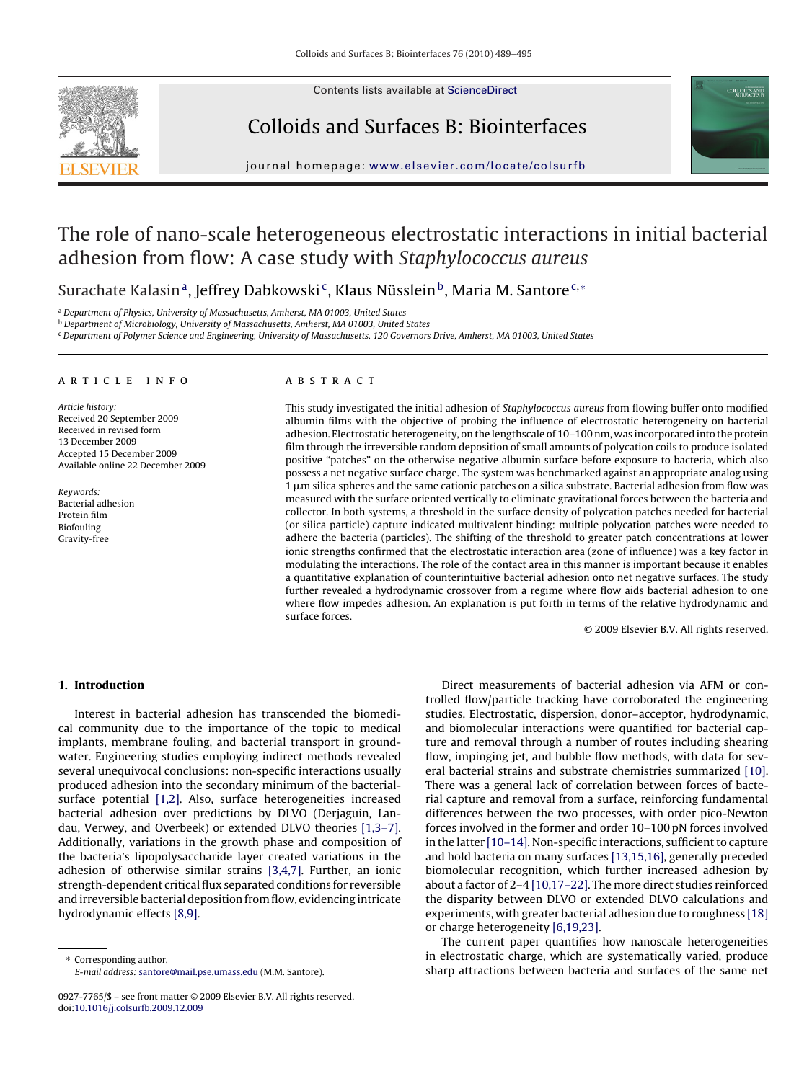

Contents lists available at [ScienceDirect](http://www.sciencedirect.com/science/journal/09277765)

## Colloids and Surfaces B: Biointerfaces



journal homepage: [www.elsevier.com/locate/colsurfb](http://www.elsevier.com/locate/colsurfb)

# The role of nano-scale heterogeneous electrostatic interactions in initial bacterial adhesion from flow: A case study with Staphylococcus aureus

Surachate Kalasin<sup>a</sup>, Jeffrey Dabkowski<sup>c</sup>, Klaus Nüsslein<sup>b</sup>, Maria M. Santore<sup>c,\*</sup>

<sup>a</sup> Department of Physics, University of Massachusetts, Amherst, MA 01003, United States

<sup>b</sup> Department of Microbiology, University of Massachusetts, Amherst, MA 01003, United States

<sup>c</sup> Department of Polymer Science and Engineering, University of Massachusetts, 120 Governors Drive, Amherst, MA 01003, United States

#### article info

Article history: Received 20 September 2009 Received in revised form 13 December 2009 Accepted 15 December 2009 Available online 22 December 2009

Keywords: Bacterial adhesion Protein film Biofouling Gravity-free

### ABSTRACT

This study investigated the initial adhesion of Staphylococcus aureus from flowing buffer onto modified albumin films with the objective of probing the influence of electrostatic heterogeneity on bacterial adhesion. Electrostatic heterogeneity, on the lengthscale of 10–100 nm, was incorporated into the protein film through the irreversible random deposition of small amounts of polycation coils to produce isolated positive "patches" on the otherwise negative albumin surface before exposure to bacteria, which also possess a net negative surface charge. The system was benchmarked against an appropriate analog using  $1\,\mu$ m silica spheres and the same cationic patches on a silica substrate. Bacterial adhesion from flow was measured with the surface oriented vertically to eliminate gravitational forces between the bacteria and collector. In both systems, a threshold in the surface density of polycation patches needed for bacterial (or silica particle) capture indicated multivalent binding: multiple polycation patches were needed to adhere the bacteria (particles). The shifting of the threshold to greater patch concentrations at lower ionic strengths confirmed that the electrostatic interaction area (zone of influence) was a key factor in modulating the interactions. The role of the contact area in this manner is important because it enables a quantitative explanation of counterintuitive bacterial adhesion onto net negative surfaces. The study further revealed a hydrodynamic crossover from a regime where flow aids bacterial adhesion to one where flow impedes adhesion. An explanation is put forth in terms of the relative hydrodynamic and surface forces.

© 2009 Elsevier B.V. All rights reserved.

#### **1. Introduction**

Interest in bacterial adhesion has transcended the biomedical community due to the importance of the topic to medical implants, membrane fouling, and bacterial transport in groundwater. Engineering studies employing indirect methods revealed several unequivocal conclusions: non-specific interactions usually produced adhesion into the secondary minimum of the bacterialsurface potential [\[1,2\].](#page-6-0) Also, surface heterogeneities increased bacterial adhesion over predictions by DLVO (Derjaguin, Landau, Verwey, and Overbeek) or extended DLVO theories [\[1,3–7\].](#page-6-0) Additionally, variations in the growth phase and composition of the bacteria's lipopolysaccharide layer created variations in the adhesion of otherwise similar strains [\[3,4,7\].](#page-6-0) Further, an ionic strength-dependent critical flux separated conditions for reversible and irreversible bacterial deposition from flow, evidencing intricate hydrodynamic effects [\[8,9\].](#page-6-0)

Corresponding author. E-mail address: [santore@mail.pse.umass.edu](mailto:santore@mail.pse.umass.edu) (M.M. Santore).

Direct measurements of bacterial adhesion via AFM or controlled flow/particle tracking have corroborated the engineering studies. Electrostatic, dispersion, donor–acceptor, hydrodynamic, and biomolecular interactions were quantified for bacterial capture and removal through a number of routes including shearing flow, impinging jet, and bubble flow methods, with data for several bacterial strains and substrate chemistries summarized [\[10\].](#page-6-0) There was a general lack of correlation between forces of bacterial capture and removal from a surface, reinforcing fundamental differences between the two processes, with order pico-Newton forces involved in the former and order 10–100 pN forces involved in the latter [\[10–14\]. N](#page-6-0)on-specific interactions, sufficient to capture and hold bacteria on many surfaces [\[13,15,16\], g](#page-6-0)enerally preceded biomolecular recognition, which further increased adhesion by about a factor of 2–4 [\[10,17–22\]. T](#page-6-0)he more direct studies reinforced the disparity between DLVO or extended DLVO calculations and experiments, with greater bacterial adhesion due to roughness [\[18\]](#page-6-0) or charge heterogeneity [\[6,19,23\].](#page-6-0)

The current paper quantifies how nanoscale heterogeneities in electrostatic charge, which are systematically varied, produce sharp attractions between bacteria and surfaces of the same net

<sup>0927-7765/\$ –</sup> see front matter © 2009 Elsevier B.V. All rights reserved. doi:[10.1016/j.colsurfb.2009.12.009](dx.doi.org/10.1016/j.colsurfb.2009.12.009)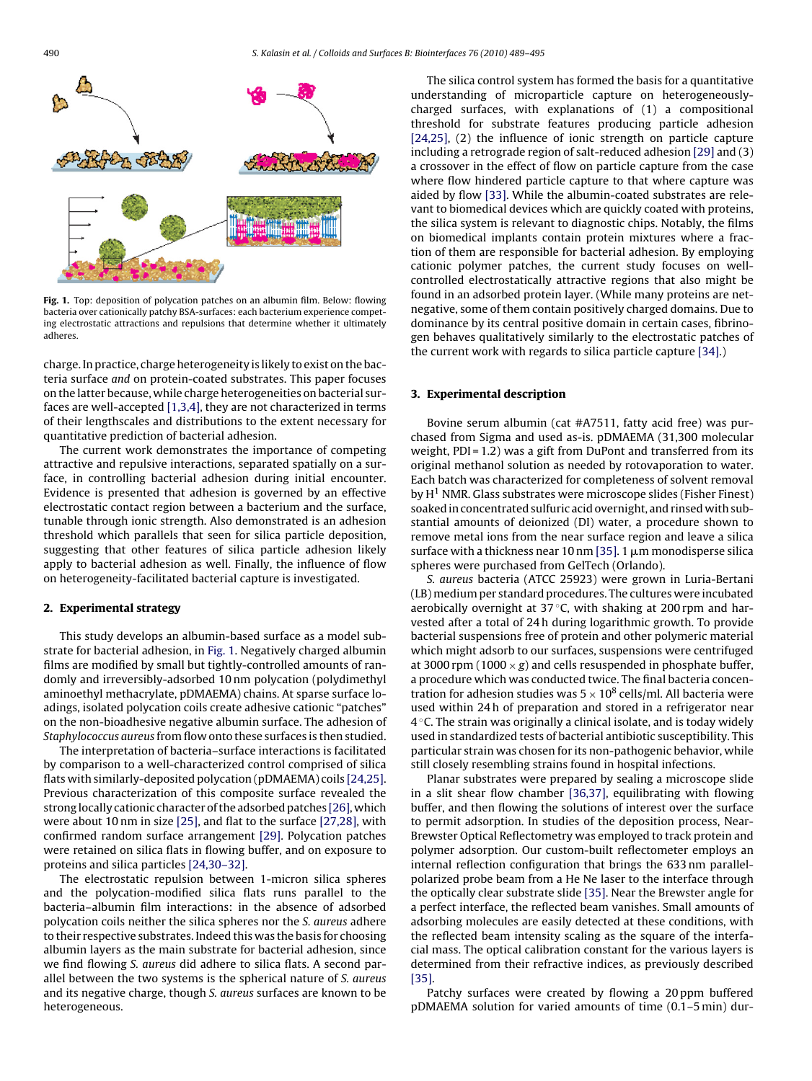

**Fig. 1.** Top: deposition of polycation patches on an albumin film. Below: flowing bacteria over cationically patchy BSA-surfaces: each bacterium experience competing electrostatic attractions and repulsions that determine whether it ultimately adheres.

charge. In practice, charge heterogeneity is likely to exist on the bacteria surface and on protein-coated substrates. This paper focuses on the latter because, while charge heterogeneities on bacterial surfaces are well-accepted [\[1,3,4\], t](#page-6-0)hey are not characterized in terms of their lengthscales and distributions to the extent necessary for quantitative prediction of bacterial adhesion.

The current work demonstrates the importance of competing attractive and repulsive interactions, separated spatially on a surface, in controlling bacterial adhesion during initial encounter. Evidence is presented that adhesion is governed by an effective electrostatic contact region between a bacterium and the surface, tunable through ionic strength. Also demonstrated is an adhesion threshold which parallels that seen for silica particle deposition, suggesting that other features of silica particle adhesion likely apply to bacterial adhesion as well. Finally, the influence of flow on heterogeneity-facilitated bacterial capture is investigated.

#### **2. Experimental strategy**

This study develops an albumin-based surface as a model substrate for bacterial adhesion, in Fig. 1. Negatively charged albumin films are modified by small but tightly-controlled amounts of randomly and irreversibly-adsorbed 10 nm polycation (polydimethyl aminoethyl methacrylate, pDMAEMA) chains. At sparse surface loadings, isolated polycation coils create adhesive cationic "patches" on the non-bioadhesive negative albumin surface. The adhesion of Staphylococcus aureus from flow onto these surfaces is then studied.

The interpretation of bacteria–surface interactions is facilitated by comparison to a well-characterized control comprised of silica flats with similarly-deposited polycation (pDMAEMA) coils [\[24,25\].](#page-6-0) Previous characterization of this composite surface revealed the strong locally cationic character of the adsorbed patches [\[26\], w](#page-6-0)hich were about 10 nm in size [\[25\], a](#page-6-0)nd flat to the surface [\[27,28\], w](#page-6-0)ith confirmed random surface arrangement [\[29\].](#page-6-0) Polycation patches were retained on silica flats in flowing buffer, and on exposure to proteins and silica particles [\[24,30–32\].](#page-6-0)

The electrostatic repulsion between 1-micron silica spheres and the polycation-modified silica flats runs parallel to the bacteria–albumin film interactions: in the absence of adsorbed polycation coils neither the silica spheres nor the S. aureus adhere to their respective substrates. Indeed this was the basis for choosing albumin layers as the main substrate for bacterial adhesion, since we find flowing S. aureus did adhere to silica flats. A second parallel between the two systems is the spherical nature of S. aureus and its negative charge, though S. aureus surfaces are known to be heterogeneous.

The silica control system has formed the basis for a quantitative understanding of microparticle capture on heterogeneouslycharged surfaces, with explanations of (1) a compositional threshold for substrate features producing particle adhesion [\[24,25\],](#page-6-0) (2) the influence of ionic strength on particle capture including a retrograde region of salt-reduced adhesion [\[29\]](#page-6-0) and (3) a crossover in the effect of flow on particle capture from the case where flow hindered particle capture to that where capture was aided by flow [\[33\]. W](#page-6-0)hile the albumin-coated substrates are relevant to biomedical devices which are quickly coated with proteins, the silica system is relevant to diagnostic chips. Notably, the films on biomedical implants contain protein mixtures where a fraction of them are responsible for bacterial adhesion. By employing cationic polymer patches, the current study focuses on wellcontrolled electrostatically attractive regions that also might be found in an adsorbed protein layer. (While many proteins are netnegative, some of them contain positively charged domains. Due to dominance by its central positive domain in certain cases, fibrinogen behaves qualitatively similarly to the electrostatic patches of the current work with regards to silica particle capture [\[34\].\)](#page-6-0)

#### **3. Experimental description**

Bovine serum albumin (cat #A7511, fatty acid free) was purchased from Sigma and used as-is. pDMAEMA (31,300 molecular weight, PDI = 1.2) was a gift from DuPont and transferred from its original methanol solution as needed by rotovaporation to water. Each batch was characterized for completeness of solvent removal by  $H^1$  NMR. Glass substrates were microscope slides (Fisher Finest) soaked in concentrated sulfuric acid overnight, and rinsed with substantial amounts of deionized (DI) water, a procedure shown to remove metal ions from the near surface region and leave a silica surface with a thickness near 10 nm [\[35\]. 1](#page-6-0)  $\mu$ m monodisperse silica spheres were purchased from GelTech (Orlando).

S. aureus bacteria (ATCC 25923) were grown in Luria-Bertani (LB) medium per standard procedures. The cultures were incubated aerobically overnight at  $37^{\circ}$ C, with shaking at 200 rpm and harvested after a total of 24 h during logarithmic growth. To provide bacterial suspensions free of protein and other polymeric material which might adsorb to our surfaces, suspensions were centrifuged at 3000 rpm (1000  $\times$  g) and cells resuspended in phosphate buffer, a procedure which was conducted twice. The final bacteria concentration for adhesion studies was  $5 \times 10^8$  cells/ml. All bacteria were used within 24 h of preparation and stored in a refrigerator near  $4^{\circ}$ C. The strain was originally a clinical isolate, and is today widely used in standardized tests of bacterial antibiotic susceptibility. This particular strain was chosen for its non-pathogenic behavior, while still closely resembling strains found in hospital infections.

Planar substrates were prepared by sealing a microscope slide in a slit shear flow chamber [\[36,37\], e](#page-6-0)quilibrating with flowing buffer, and then flowing the solutions of interest over the surface to permit adsorption. In studies of the deposition process, Near-Brewster Optical Reflectometry was employed to track protein and polymer adsorption. Our custom-built reflectometer employs an internal reflection configuration that brings the 633 nm parallelpolarized probe beam from a He Ne laser to the interface through the optically clear substrate slide [\[35\]. N](#page-6-0)ear the Brewster angle for a perfect interface, the reflected beam vanishes. Small amounts of adsorbing molecules are easily detected at these conditions, with the reflected beam intensity scaling as the square of the interfacial mass. The optical calibration constant for the various layers is determined from their refractive indices, as previously described [\[35\].](#page-6-0)

Patchy surfaces were created by flowing a 20 ppm buffered pDMAEMA solution for varied amounts of time (0.1–5 min) dur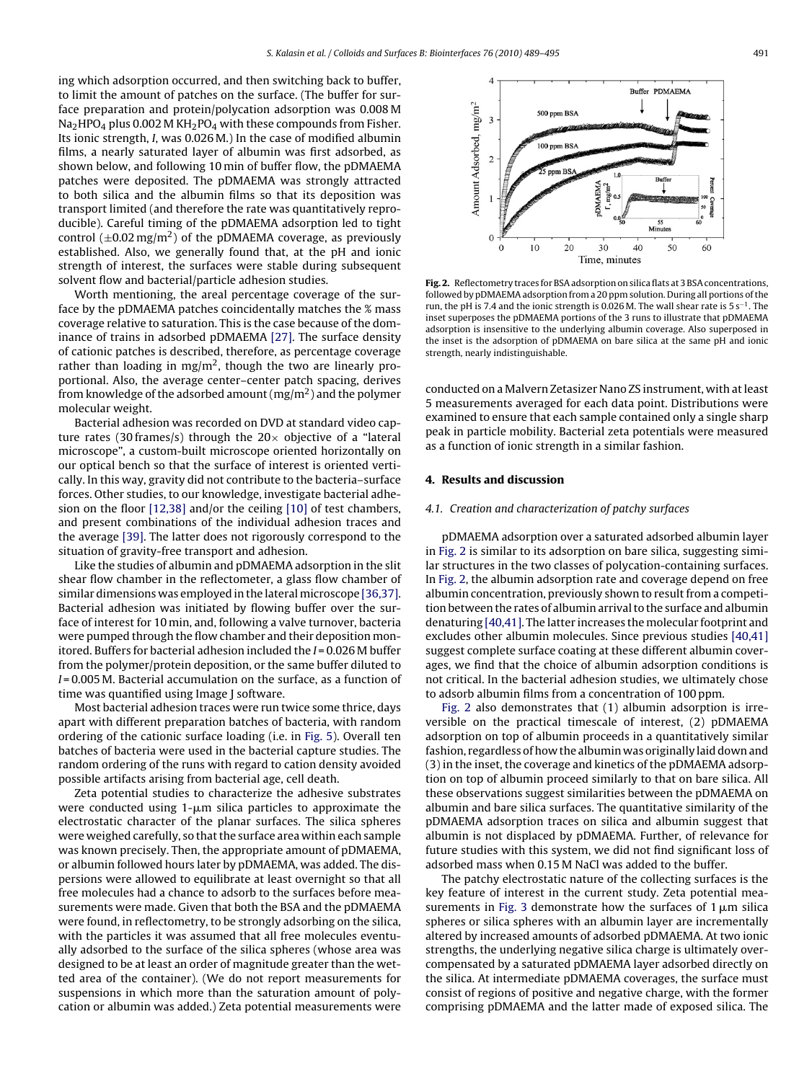ing which adsorption occurred, and then switching back to buffer, to limit the amount of patches on the surface. (The buffer for surface preparation and protein/polycation adsorption was 0.008 M  $Na<sub>2</sub>HPO<sub>4</sub>$  plus 0.002 M KH<sub>2</sub>PO<sub>4</sub> with these compounds from Fisher. Its ionic strength, I, was 0.026 M.) In the case of modified albumin films, a nearly saturated layer of albumin was first adsorbed, as shown below, and following 10 min of buffer flow, the pDMAEMA patches were deposited. The pDMAEMA was strongly attracted to both silica and the albumin films so that its deposition was transport limited (and therefore the rate was quantitatively reproducible). Careful timing of the pDMAEMA adsorption led to tight control  $(\pm 0.02 \,\text{mg/m}^2)$  of the pDMAEMA coverage, as previously established. Also, we generally found that, at the pH and ionic strength of interest, the surfaces were stable during subsequent solvent flow and bacterial/particle adhesion studies.

Worth mentioning, the areal percentage coverage of the surface by the pDMAEMA patches coincidentally matches the % mass coverage relative to saturation. This is the case because of the dominance of trains in adsorbed pDMAEMA [\[27\].](#page-6-0) The surface density of cationic patches is described, therefore, as percentage coverage rather than loading in mg/m<sup>2</sup>, though the two are linearly proportional. Also, the average center–center patch spacing, derives from knowledge of the adsorbed amount  $(mg/m<sup>2</sup>)$  and the polymer molecular weight.

Bacterial adhesion was recorded on DVD at standard video capture rates (30 frames/s) through the  $20\times$  objective of a "lateral microscope", a custom-built microscope oriented horizontally on our optical bench so that the surface of interest is oriented vertically. In this way, gravity did not contribute to the bacteria–surface forces. Other studies, to our knowledge, investigate bacterial adhesion on the floor [\[12,38\]](#page-6-0) and/or the ceiling [\[10\]](#page-6-0) of test chambers, and present combinations of the individual adhesion traces and the average [\[39\]. T](#page-6-0)he latter does not rigorously correspond to the situation of gravity-free transport and adhesion.

Like the studies of albumin and pDMAEMA adsorption in the slit shear flow chamber in the reflectometer, a glass flow chamber of similar dimensions was employed in the lateral microscope [\[36,37\].](#page-6-0) Bacterial adhesion was initiated by flowing buffer over the surface of interest for 10 min, and, following a valve turnover, bacteria were pumped through the flow chamber and their deposition monitored. Buffers for bacterial adhesion included the  $I = 0.026$  M buffer from the polymer/protein deposition, or the same buffer diluted to  $I = 0.005$  M. Bacterial accumulation on the surface, as a function of time was quantified using Image J software.

Most bacterial adhesion traces were run twice some thrice, days apart with different preparation batches of bacteria, with random ordering of the cationic surface loading (i.e. in [Fig. 5\).](#page-3-0) Overall ten batches of bacteria were used in the bacterial capture studies. The random ordering of the runs with regard to cation density avoided possible artifacts arising from bacterial age, cell death.

Zeta potential studies to characterize the adhesive substrates were conducted using  $1\text{-}\mu\text{m}$  silica particles to approximate the electrostatic character of the planar surfaces. The silica spheres were weighed carefully, so that the surface area within each sample was known precisely. Then, the appropriate amount of pDMAEMA, or albumin followed hours later by pDMAEMA, was added. The dispersions were allowed to equilibrate at least overnight so that all free molecules had a chance to adsorb to the surfaces before measurements were made. Given that both the BSA and the pDMAEMA were found, in reflectometry, to be strongly adsorbing on the silica, with the particles it was assumed that all free molecules eventually adsorbed to the surface of the silica spheres (whose area was designed to be at least an order of magnitude greater than the wetted area of the container). (We do not report measurements for suspensions in which more than the saturation amount of polycation or albumin was added.) Zeta potential measurements were



**Fig. 2.** Reflectometry traces for BSA adsorption on silica flats at 3 BSA concentrations, followed by pDMAEMA adsorption from a 20 ppm solution. During all portions of the run, the pH is 7.4 and the ionic strength is 0.026 M. The wall shear rate is 5 s−1. The inset superposes the pDMAEMA portions of the 3 runs to illustrate that pDMAEMA adsorption is insensitive to the underlying albumin coverage. Also superposed in the inset is the adsorption of pDMAEMA on bare silica at the same pH and ionic strength, nearly indistinguishable.

conducted on a Malvern Zetasizer Nano ZS instrument, with at least 5 measurements averaged for each data point. Distributions were examined to ensure that each sample contained only a single sharp peak in particle mobility. Bacterial zeta potentials were measured as a function of ionic strength in a similar fashion.

#### **4. Results and discussion**

#### 4.1. Creation and characterization of patchy surfaces

pDMAEMA adsorption over a saturated adsorbed albumin layer in Fig. 2 is similar to its adsorption on bare silica, suggesting similar structures in the two classes of polycation-containing surfaces. In Fig. 2, the albumin adsorption rate and coverage depend on free albumin concentration, previously shown to result from a competition between the rates of albumin arrival to the surface and albumin denaturing [\[40,41\]. T](#page-6-0)he latter increases the molecular footprint and excludes other albumin molecules. Since previous studies [\[40,41\]](#page-6-0) suggest complete surface coating at these different albumin coverages, we find that the choice of albumin adsorption conditions is not critical. In the bacterial adhesion studies, we ultimately chose to adsorb albumin films from a concentration of 100 ppm.

Fig. 2 also demonstrates that (1) albumin adsorption is irreversible on the practical timescale of interest, (2) pDMAEMA adsorption on top of albumin proceeds in a quantitatively similar fashion, regardless of how the albumin was originally laid down and (3) in the inset, the coverage and kinetics of the pDMAEMA adsorption on top of albumin proceed similarly to that on bare silica. All these observations suggest similarities between the pDMAEMA on albumin and bare silica surfaces. The quantitative similarity of the pDMAEMA adsorption traces on silica and albumin suggest that albumin is not displaced by pDMAEMA. Further, of relevance for future studies with this system, we did not find significant loss of adsorbed mass when 0.15 M NaCl was added to the buffer.

The patchy electrostatic nature of the collecting surfaces is the key feature of interest in the current study. Zeta potential mea-surements in [Fig. 3](#page-3-0) demonstrate how the surfaces of  $1 \mu m$  silica spheres or silica spheres with an albumin layer are incrementally altered by increased amounts of adsorbed pDMAEMA. At two ionic strengths, the underlying negative silica charge is ultimately overcompensated by a saturated pDMAEMA layer adsorbed directly on the silica. At intermediate pDMAEMA coverages, the surface must consist of regions of positive and negative charge, with the former comprising pDMAEMA and the latter made of exposed silica. The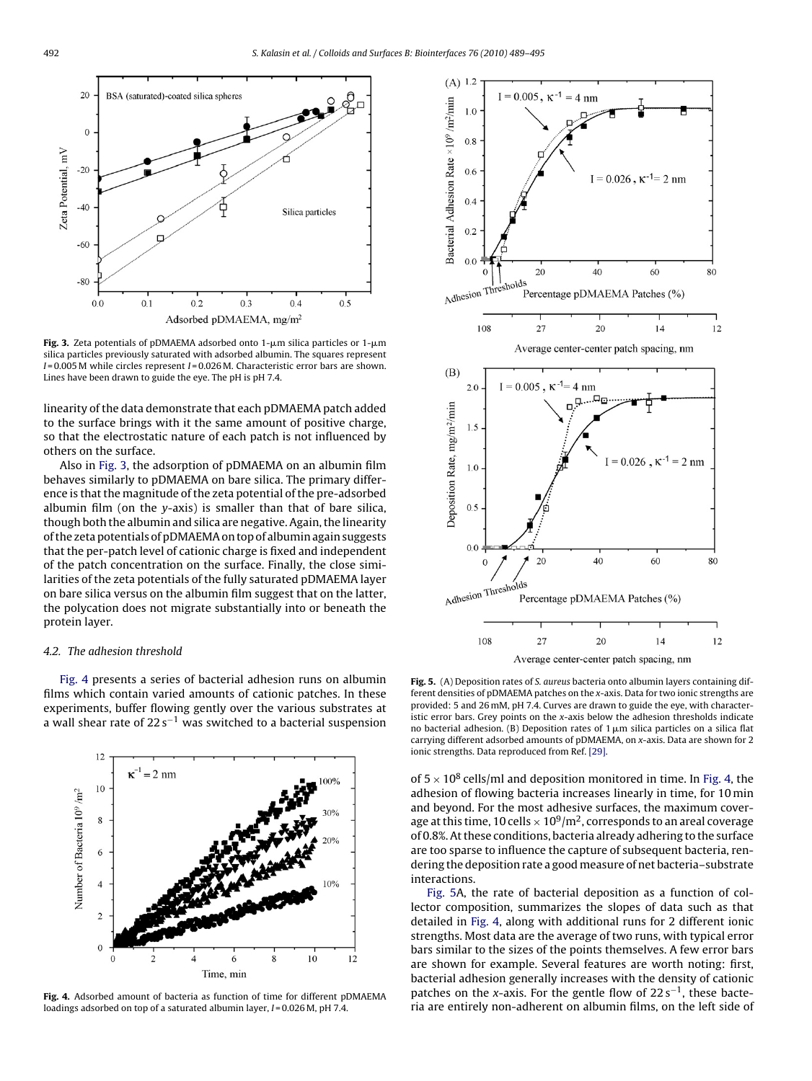<span id="page-3-0"></span>

**Fig. 3.** Zeta potentials of pDMAEMA adsorbed onto  $1$ - $\mu$ m silica particles or  $1$ - $\mu$ m silica particles previously saturated with adsorbed albumin. The squares represent  $I = 0.005$  M while circles represent  $I = 0.026$  M. Characteristic error bars are shown. Lines have been drawn to guide the eye. The pH is pH 7.4.

linearity of the data demonstrate that each pDMAEMA patch added to the surface brings with it the same amount of positive charge, so that the electrostatic nature of each patch is not influenced by others on the surface.

Also in Fig. 3, the adsorption of pDMAEMA on an albumin film behaves similarly to pDMAEMA on bare silica. The primary difference is that the magnitude of the zeta potential of the pre-adsorbed albumin film (on the  $y$ -axis) is smaller than that of bare silica, though both the albumin and silica are negative. Again, the linearity of the zeta potentials of pDMAEMA on top of albumin again suggests that the per-patch level of cationic charge is fixed and independent of the patch concentration on the surface. Finally, the close similarities of the zeta potentials of the fully saturated pDMAEMA layer on bare silica versus on the albumin film suggest that on the latter, the polycation does not migrate substantially into or beneath the protein layer.

### 4.2. The adhesion threshold

Fig. 4 presents a series of bacterial adhesion runs on albumin films which contain varied amounts of cationic patches. In these experiments, buffer flowing gently over the various substrates at a wall shear rate of  $22 s^{-1}$  was switched to a bacterial suspension



**Fig. 4.** Adsorbed amount of bacteria as function of time for different pDMAEMA loadings adsorbed on top of a saturated albumin layer,  $I = 0.026$  M, pH 7.4.



**Fig. 5.** (A) Deposition rates of S. aureus bacteria onto albumin layers containing different densities of pDMAEMA patches on the x-axis. Data for two ionic strengths are provided: 5 and 26 mM, pH 7.4. Curves are drawn to guide the eye, with characteristic error bars. Grey points on the x-axis below the adhesion thresholds indicate no bacterial adhesion. (B) Deposition rates of 1  $\mu$ m silica particles on a silica flat carrying different adsorbed amounts of pDMAEMA, on x-axis. Data are shown for 2 ionic strengths. Data reproduced from Ref. [\[29\].](#page-6-0)

of  $5 \times 10^8$  cells/ml and deposition monitored in time. In Fig. 4, the adhesion of flowing bacteria increases linearly in time, for 10 min and beyond. For the most adhesive surfaces, the maximum coverage at this time, 10 cells  $\times 10^9/m^2$ , corresponds to an areal coverage of 0.8%. At these conditions, bacteria already adhering to the surface are too sparse to influence the capture of subsequent bacteria, rendering the deposition rate a good measure of net bacteria–substrate interactions.

Fig. 5A, the rate of bacterial deposition as a function of collector composition, summarizes the slopes of data such as that detailed in Fig. 4, along with additional runs for 2 different ionic strengths. Most data are the average of two runs, with typical error bars similar to the sizes of the points themselves. A few error bars are shown for example. Several features are worth noting: first, bacterial adhesion generally increases with the density of cationic patches on the x-axis. For the gentle flow of  $22 s^{-1}$ , these bacteria are entirely non-adherent on albumin films, on the left side of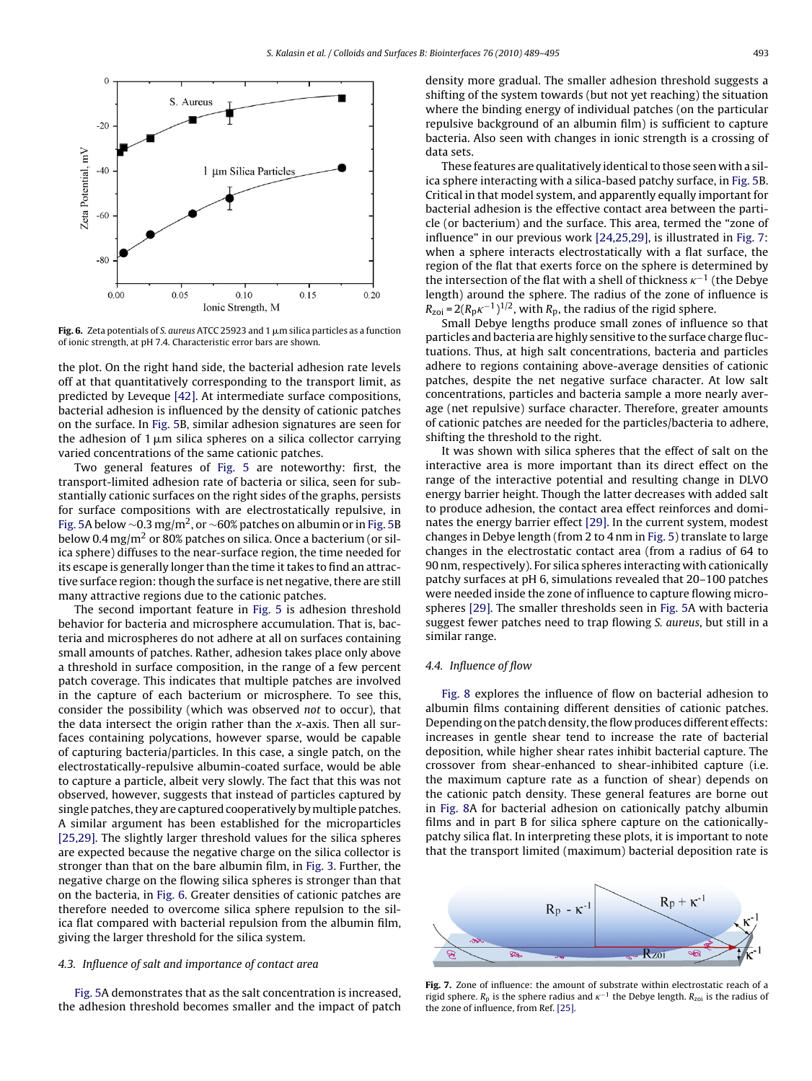<span id="page-4-0"></span>

**Fig. 6.** Zeta potentials of S. aureus ATCC 25923 and 1  $\mu$ m silica particles as a function of ionic strength, at pH 7.4. Characteristic error bars are shown.

the plot. On the right hand side, the bacterial adhesion rate levels off at that quantitatively corresponding to the transport limit, as predicted by Leveque [\[42\]. A](#page-6-0)t intermediate surface compositions, bacterial adhesion is influenced by the density of cationic patches on the surface. In [Fig. 5B,](#page-3-0) similar adhesion signatures are seen for the adhesion of 1  $\upmu$ m silica spheres on a silica collector carrying varied concentrations of the same cationic patches.

Two general features of [Fig. 5](#page-3-0) are noteworthy: first, the transport-limited adhesion rate of bacteria or silica, seen for substantially cationic surfaces on the right sides of the graphs, persists for surface compositions with are electrostatically repulsive, in [Fig. 5A](#page-3-0) below ~0.3 mg/m<sup>2</sup>, or ~60% patches on albumin or in [Fig. 5B](#page-3-0) below 0.4 mg/m<sup>2</sup> or 80% patches on silica. Once a bacterium (or silica sphere) diffuses to the near-surface region, the time needed for its escape is generally longer than the time it takes to find an attractive surface region: though the surface is net negative, there are still many attractive regions due to the cationic patches.

The second important feature in [Fig. 5](#page-3-0) is adhesion threshold behavior for bacteria and microsphere accumulation. That is, bacteria and microspheres do not adhere at all on surfaces containing small amounts of patches. Rather, adhesion takes place only above a threshold in surface composition, in the range of a few percent patch coverage. This indicates that multiple patches are involved in the capture of each bacterium or microsphere. To see this, consider the possibility (which was observed not to occur), that the data intersect the origin rather than the x-axis. Then all surfaces containing polycations, however sparse, would be capable of capturing bacteria/particles. In this case, a single patch, on the electrostatically-repulsive albumin-coated surface, would be able to capture a particle, albeit very slowly. The fact that this was not observed, however, suggests that instead of particles captured by single patches, they are captured cooperatively by multiple patches. A similar argument has been established for the microparticles [\[25,29\]. T](#page-6-0)he slightly larger threshold values for the silica spheres are expected because the negative charge on the silica collector is stronger than that on the bare albumin film, in [Fig. 3.](#page-3-0) Further, the negative charge on the flowing silica spheres is stronger than that on the bacteria, in Fig. 6. Greater densities of cationic patches are therefore needed to overcome silica sphere repulsion to the silica flat compared with bacterial repulsion from the albumin film, giving the larger threshold for the silica system.

#### 4.3. Influence of salt and importance of contact area

[Fig. 5A](#page-3-0) demonstrates that as the salt concentration is increased, the adhesion threshold becomes smaller and the impact of patch density more gradual. The smaller adhesion threshold suggests a shifting of the system towards (but not yet reaching) the situation where the binding energy of individual patches (on the particular repulsive background of an albumin film) is sufficient to capture bacteria. Also seen with changes in ionic strength is a crossing of data sets.

These features are qualitatively identical to those seen with a silica sphere interacting with a silica-based patchy surface, in [Fig. 5B.](#page-3-0) Critical in that model system, and apparently equally important for bacterial adhesion is the effective contact area between the particle (or bacterium) and the surface. This area, termed the "zone of influence" in our previous work [\[24,25,29\], i](#page-6-0)s illustrated in Fig. 7: when a sphere interacts electrostatically with a flat surface, the region of the flat that exerts force on the sphere is determined by the intersection of the flat with a shell of thickness  $\kappa^{-1}$  (the Debye length) around the sphere. The radius of the zone of influence is  $R_{\text{zoi}} = 2(R_{\text{p}}\kappa^{-1})^{1/2}$ , with  $R_{\text{p}}$ , the radius of the rigid sphere.

Small Debye lengths produce small zones of influence so that particles and bacteria are highly sensitive to the surface charge fluctuations. Thus, at high salt concentrations, bacteria and particles adhere to regions containing above-average densities of cationic patches, despite the net negative surface character. At low salt concentrations, particles and bacteria sample a more nearly average (net repulsive) surface character. Therefore, greater amounts of cationic patches are needed for the particles/bacteria to adhere, shifting the threshold to the right.

It was shown with silica spheres that the effect of salt on the interactive area is more important than its direct effect on the range of the interactive potential and resulting change in DLVO energy barrier height. Though the latter decreases with added salt to produce adhesion, the contact area effect reinforces and dominates the energy barrier effect [\[29\]. I](#page-6-0)n the current system, modest changes in Debye length (from 2 to 4 nm in [Fig. 5\) t](#page-3-0)ranslate to large changes in the electrostatic contact area (from a radius of 64 to 90 nm, respectively). For silica spheres interacting with cationically patchy surfaces at pH 6, simulations revealed that 20–100 patches were needed inside the zone of influence to capture flowing microspheres [\[29\]. T](#page-6-0)he smaller thresholds seen in [Fig. 5A](#page-3-0) with bacteria suggest fewer patches need to trap flowing S. aureus, but still in a similar range.

#### 4.4. Influence of flow

[Fig. 8](#page-5-0) explores the influence of flow on bacterial adhesion to albumin films containing different densities of cationic patches. Depending on the patch density, the flow produces different effects: increases in gentle shear tend to increase the rate of bacterial deposition, while higher shear rates inhibit bacterial capture. The crossover from shear-enhanced to shear-inhibited capture (i.e. the maximum capture rate as a function of shear) depends on the cationic patch density. These general features are borne out in [Fig. 8A](#page-5-0) for bacterial adhesion on cationically patchy albumin films and in part B for silica sphere capture on the cationicallypatchy silica flat. In interpreting these plots, it is important to note that the transport limited (maximum) bacterial deposition rate is



**Fig. 7.** Zone of influence: the amount of substrate within electrostatic reach of a rigid sphere.  $R_p$  is the sphere radius and  $\kappa^{-1}$  the Debye length.  $R_{z0i}$  is the radius of the zone of influence, from Ref. [\[25\].](#page-6-0)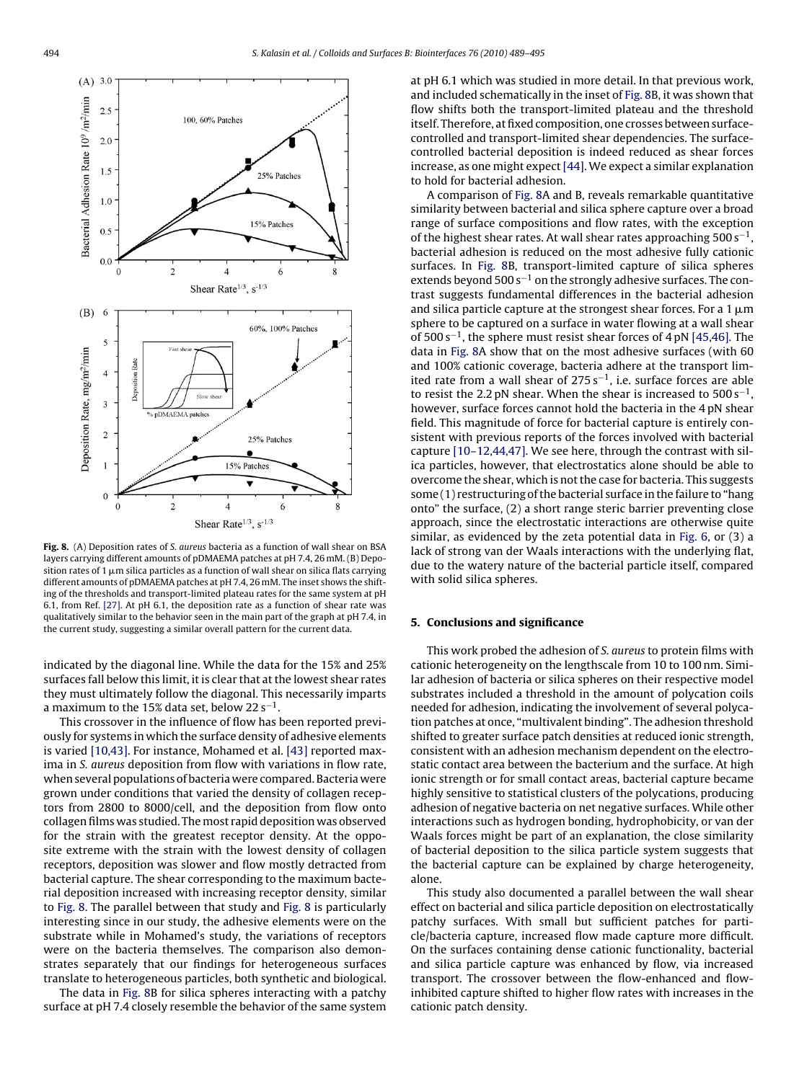<span id="page-5-0"></span>

Fig. 8. (A) Deposition rates of S. aureus bacteria as a function of wall shear on BSA layers carrying different amounts of pDMAEMA patches at pH 7.4, 26 mM. (B) Deposition rates of 1  $\mu$ m silica particles as a function of wall shear on silica flats carrying different amounts of pDMAEMA patches at pH 7.4, 26 mM. The inset shows the shifting of the thresholds and transport-limited plateau rates for the same system at pH 6.1, from Ref. [\[27\]. A](#page-6-0)t pH 6.1, the deposition rate as a function of shear rate was qualitatively similar to the behavior seen in the main part of the graph at pH 7.4, in the current study, suggesting a similar overall pattern for the current data.

indicated by the diagonal line. While the data for the 15% and 25% surfaces fall below this limit, it is clear that at the lowest shear rates they must ultimately follow the diagonal. This necessarily imparts a maximum to the 15% data set, below  $22 s^{-1}$ .

This crossover in the influence of flow has been reported previously for systems in which the surface density of adhesive elements is varied [\[10,43\]. F](#page-6-0)or instance, Mohamed et al. [\[43\]](#page-6-0) reported maxima in S. aureus deposition from flow with variations in flow rate, when several populations of bacteria were compared. Bacteria were grown under conditions that varied the density of collagen receptors from 2800 to 8000/cell, and the deposition from flow onto collagen films was studied. The most rapid deposition was observed for the strain with the greatest receptor density. At the opposite extreme with the strain with the lowest density of collagen receptors, deposition was slower and flow mostly detracted from bacterial capture. The shear corresponding to the maximum bacterial deposition increased with increasing receptor density, similar to Fig. 8. The parallel between that study and Fig. 8 is particularly interesting since in our study, the adhesive elements were on the substrate while in Mohamed's study, the variations of receptors were on the bacteria themselves. The comparison also demonstrates separately that our findings for heterogeneous surfaces translate to heterogeneous particles, both synthetic and biological.

The data in Fig. 8B for silica spheres interacting with a patchy surface at pH 7.4 closely resemble the behavior of the same system at pH 6.1 which was studied in more detail. In that previous work, and included schematically in the inset of Fig. 8B, it was shown that flow shifts both the transport-limited plateau and the threshold itself. Therefore, at fixed composition, one crosses between surfacecontrolled and transport-limited shear dependencies. The surfacecontrolled bacterial deposition is indeed reduced as shear forces increase, as one might expect [\[44\]. W](#page-6-0)e expect a similar explanation to hold for bacterial adhesion.

A comparison of Fig. 8A and B, reveals remarkable quantitative similarity between bacterial and silica sphere capture over a broad range of surface compositions and flow rates, with the exception of the highest shear rates. At wall shear rates approaching  $500 s^{-1}$ , bacterial adhesion is reduced on the most adhesive fully cationic surfaces. In Fig. 8B, transport-limited capture of silica spheres extends beyond 500 s<sup>-1</sup> on the strongly adhesive surfaces. The contrast suggests fundamental differences in the bacterial adhesion and silica particle capture at the strongest shear forces. For a 1  $\mu$ m sphere to be captured on a surface in water flowing at a wall shear of  $500 s^{-1}$ , the sphere must resist shear forces of 4 pN [\[45,46\]. T](#page-6-0)he data in Fig. 8A show that on the most adhesive surfaces (with 60 and 100% cationic coverage, bacteria adhere at the transport limited rate from a wall shear of  $275 s<sup>-1</sup>$ , i.e. surface forces are able to resist the 2.2 pN shear. When the shear is increased to  $500 s<sup>-1</sup>$ , however, surface forces cannot hold the bacteria in the 4 pN shear field. This magnitude of force for bacterial capture is entirely consistent with previous reports of the forces involved with bacterial capture [\[10–12,44,47\]. W](#page-6-0)e see here, through the contrast with silica particles, however, that electrostatics alone should be able to overcome the shear, which is not the case for bacteria. This suggests some (1) restructuring of the bacterial surface in the failure to "hang onto" the surface, (2) a short range steric barrier preventing close approach, since the electrostatic interactions are otherwise quite similar, as evidenced by the zeta potential data in [Fig. 6,](#page-4-0) or (3) a lack of strong van der Waals interactions with the underlying flat, due to the watery nature of the bacterial particle itself, compared with solid silica spheres.

#### **5. Conclusions and significance**

This work probed the adhesion of S. aureus to protein films with cationic heterogeneity on the lengthscale from 10 to 100 nm. Similar adhesion of bacteria or silica spheres on their respective model substrates included a threshold in the amount of polycation coils needed for adhesion, indicating the involvement of several polycation patches at once, "multivalent binding". The adhesion threshold shifted to greater surface patch densities at reduced ionic strength, consistent with an adhesion mechanism dependent on the electrostatic contact area between the bacterium and the surface. At high ionic strength or for small contact areas, bacterial capture became highly sensitive to statistical clusters of the polycations, producing adhesion of negative bacteria on net negative surfaces. While other interactions such as hydrogen bonding, hydrophobicity, or van der Waals forces might be part of an explanation, the close similarity of bacterial deposition to the silica particle system suggests that the bacterial capture can be explained by charge heterogeneity, alone.

This study also documented a parallel between the wall shear effect on bacterial and silica particle deposition on electrostatically patchy surfaces. With small but sufficient patches for particle/bacteria capture, increased flow made capture more difficult. On the surfaces containing dense cationic functionality, bacterial and silica particle capture was enhanced by flow, via increased transport. The crossover between the flow-enhanced and flowinhibited capture shifted to higher flow rates with increases in the cationic patch density.